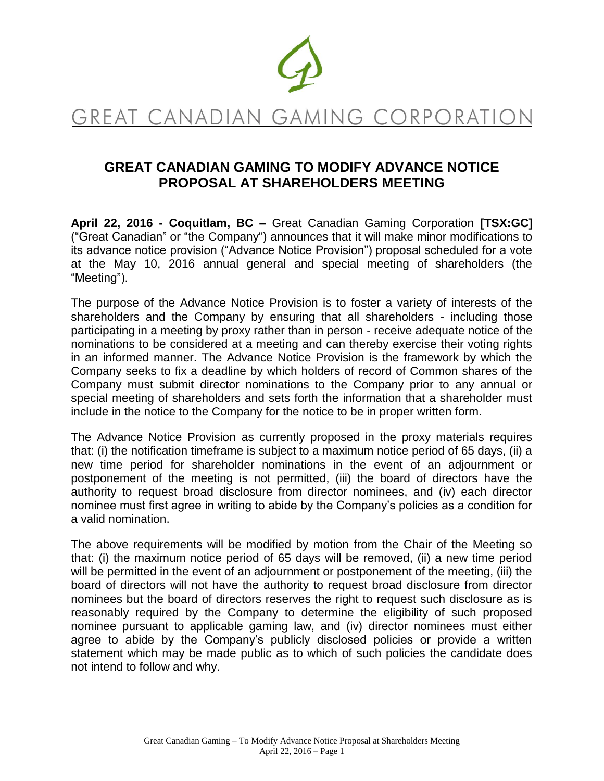

# GREAT CANADIAN GAMING CORPORATION

# **GREAT CANADIAN GAMING TO MODIFY ADVANCE NOTICE PROPOSAL AT SHAREHOLDERS MEETING**

**April 22, 2016 - Coquitlam, BC –** Great Canadian Gaming Corporation **[TSX:GC]**  ("Great Canadian" or "the Company") announces that it will make minor modifications to its advance notice provision ("Advance Notice Provision") proposal scheduled for a vote at the May 10, 2016 annual general and special meeting of shareholders (the "Meeting").

The purpose of the Advance Notice Provision is to foster a variety of interests of the shareholders and the Company by ensuring that all shareholders - including those participating in a meeting by proxy rather than in person - receive adequate notice of the nominations to be considered at a meeting and can thereby exercise their voting rights in an informed manner. The Advance Notice Provision is the framework by which the Company seeks to fix a deadline by which holders of record of Common shares of the Company must submit director nominations to the Company prior to any annual or special meeting of shareholders and sets forth the information that a shareholder must include in the notice to the Company for the notice to be in proper written form.

The Advance Notice Provision as currently proposed in the proxy materials requires that: (i) the notification timeframe is subject to a maximum notice period of 65 days, (ii) a new time period for shareholder nominations in the event of an adjournment or postponement of the meeting is not permitted, (iii) the board of directors have the authority to request broad disclosure from director nominees, and (iv) each director nominee must first agree in writing to abide by the Company's policies as a condition for a valid nomination.

The above requirements will be modified by motion from the Chair of the Meeting so that: (i) the maximum notice period of 65 days will be removed, (ii) a new time period will be permitted in the event of an adjournment or postponement of the meeting, (iii) the board of directors will not have the authority to request broad disclosure from director nominees but the board of directors reserves the right to request such disclosure as is reasonably required by the Company to determine the eligibility of such proposed nominee pursuant to applicable gaming law, and (iv) director nominees must either agree to abide by the Company's publicly disclosed policies or provide a written statement which may be made public as to which of such policies the candidate does not intend to follow and why.